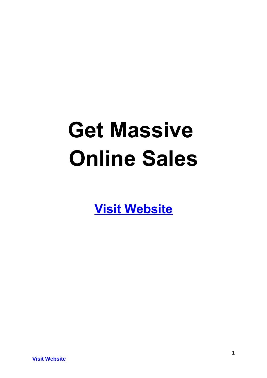# **Get Massive Online Sales**

**[Visit Website](http://replug.link/f7ab3460/)**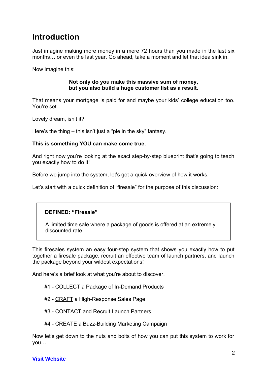## **Introduction**

Just imagine making more money in a mere 72 hours than you made in the last six months… or even the last year. Go ahead, take a moment and let that idea sink in.

Now imagine this:

## **Not only do you make this massive sum of money, but you also build a huge customer list as a result.**

That means your mortgage is paid for and maybe your kids' college education too. You're set.

Lovely dream, isn't it?

Here's the thing – this isn't just a "pie in the sky" fantasy.

## **This is something YOU can make come true.**

And right now you're looking at the exact step-by-step blueprint that's going to teach you exactly how to do it!

Before we jump into the system, let's get a quick overview of how it works.

Let's start with a quick definition of "firesale" for the purpose of this discussion:

## **DEFINED: "Firesale"**

A limited time sale where a package of goods is offered at an extremely discounted rate.

This firesales system an easy four-step system that shows you exactly how to put together a firesale package, recruit an effective team of launch partners, and launch the package beyond your wildest expectations!

And here's a brief look at what you're about to discover.

- #1 COLLECT a Package of In-Demand Products
- #2 CRAFT a High-Response Sales Page
- #3 CONTACT and Recruit Launch Partners
- #4 CREATE a Buzz-Building Marketing Campaign

Now let's get down to the nuts and bolts of how you can put this system to work for you…

## **[Visit Website](http://replug.link/f7ab3460/)**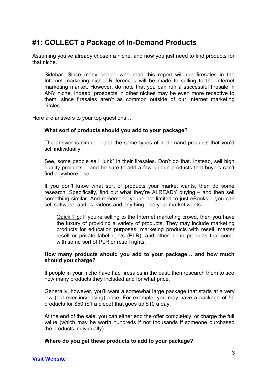## **#1: COLLECT a Package of In-Demand Products**

Assuming you've already chosen a niche, and now you just need to find products for that niche.

Sidebar: Since many people who read this report will run firesales in the Internet marketing niche. References will be made to selling to the Internet marketing market. However, do note that you can run a successful firesale in ANY niche. Indeed, prospects in other niches may be even more receptive to them, since firesales aren't as common outside of our Internet marketing circles.

Here are answers to your top questions…

## **What sort of products should you add to your package?**

The answer is simple – add the same types of in-demand products that you'd sell individually.

See, some people sell "junk" in their firesales. Don't do that. Instead, sell high quality products… and be sure to add a few unique products that buyers can't find anywhere else.

If you don't know what sort of products your market wants, then do some research. Specifically, find out what they're ALREADY buying – and then sell something similar. And remember, you're not limited to just eBooks – you can sell software, audios, videos and anything else your market wants.

Quick Tip: If you're selling to the Internet marketing crowd, then you have the luxury of providing a variety of products. They may include marketing products for education purposes, marketing products with resell, master resell or private label rights (PLR), and other niche products that come with some sort of PLR or resell rights.

## **How many products should you add to your package… and how much should you charge?**

If people in your niche have had firesales in the past, then research them to see how many products they included and for what price.

Generally, however, you'll want a somewhat large package that starts at a very low (but ever increasing) price. For example, you may have a package of 50 products for \$50 (\$1 a piece) that goes up \$10 a day.

At the end of the sale, you can either end the offer completely, or charge the full value (which may be worth hundreds if not thousands if someone purchased the products individually).

## **Where do you get these products to add to your package?**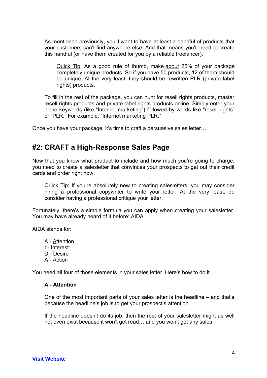As mentioned previously, you'll want to have at least a handful of products that your customers can't find anywhere else. And that means you'll need to create this handful (or have them created for you by a reliable freelancer).

Quick Tip: As a good rule of thumb, make about 25% of your package completely unique products. So if you have 50 products, 12 of them should be unique. At the very least, they should be rewritten PLR (private label rights) products.

To fill in the rest of the package, you can hunt for resell rights products, master resell rights products and private label rights products online. Simply enter your niche keywords (like "Internet marketing") followed by words like "resell rights" or "PLR." For example: "Internet marketing PLR."

Once you have your package, it's time to craft a persuasive sales letter…

## **#2: CRAFT a High-Response Sales Page**

Now that you know what product to include and how much you're going to charge, you need to create a salesletter that convinces your prospects to get out their credit cards and order right now.

Quick Tip: If you're absolutely new to creating salesletters, you may consider hiring a professional copywriter to write your letter. At the very least, do consider having a professional critique your letter.

Fortunately, there's a simple formula you can apply when creating your salesletter. You may have already heard of it before: AIDA.

AIDA stands for:

- A Attention I - Interest
- D Desire
- A Action

You need all four of those elements in your sales letter. Here's how to do it.

## **A - Attention**

One of the most important parts of your sales letter is the headline – and that's because the headline's job is to get your prospect's attention.

If the headline doesn't do its job, then the rest of your salesletter might as well not even exist because it won't get read… and you won't get any sales.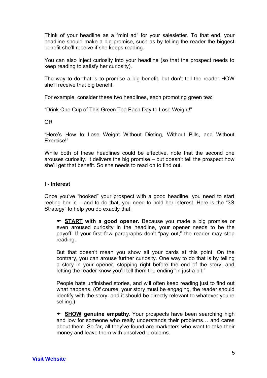Think of your headline as a "mini ad" for your salesletter. To that end, your headline should make a big promise, such as by telling the reader the biggest benefit she'll receive if she keeps reading.

You can also inject curiosity into your headline (so that the prospect needs to keep reading to satisfy her curiosity).

The way to do that is to promise a big benefit, but don't tell the reader HOW she'll receive that big benefit.

For example, consider these two headlines, each promoting green tea:

"Drink One Cup of This Green Tea Each Day to Lose Weight!"

OR

"Here's How to Lose Weight Without Dieting, Without Pills, and Without Exercise!"

While both of these headlines could be effective, note that the second one arouses curiosity. It delivers the big promise – but doesn't tell the prospect how she'll get that benefit. So she needs to read on to find out.

## **I - Interest**

Once you've "hooked" your prospect with a good headline, you need to start reeling her in – and to do that, you need to hold her interest. Here is the "3S Strategy" to help you do exactly that:

 **START with a good opener.** Because you made a big promise or even aroused curiosity in the headline, your opener needs to be the payoff. If your first few paragraphs don't "pay out," the reader may stop reading.

But that doesn't mean you show all your cards at this point. On the contrary, you can arouse further curiosity. One way to do that is by telling a story in your opener, stopping right before the end of the story, and letting the reader know you'll tell them the ending "in just a bit."

People hate unfinished stories, and will often keep reading just to find out what happens. (Of course, your story must be engaging, the reader should identify with the story, and it should be directly relevant to whatever you're selling.)

 **SHOW genuine empathy.** Your prospects have been searching high and low for someone who really understands their problems… and cares about them. So far, all they've found are marketers who want to take their money and leave them with unsolved problems.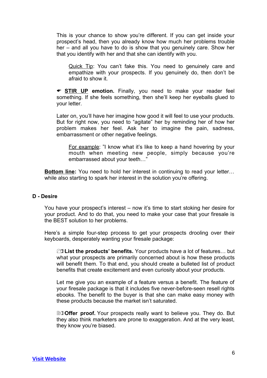This is your chance to show you're different. If you can get inside your prospect's head, then you already know how much her problems trouble her – and all you have to do is show that you genuinely care. Show her that you identify with her and that she can identify with you.

Quick Tip: You can't fake this. You need to genuinely care and empathize with your prospects. If you genuinely do, then don't be afraid to show it.

**STIR UP emotion.** Finally, you need to make your reader feel something. If she feels something, then she'll keep her eyeballs glued to your letter.

Later on, you'll have her imagine how good it will feel to use your products. But for right now, you need to "agitate" her by reminding her of how her problem makes her feel. Ask her to imagine the pain, sadness, embarrassment or other negative feelings.

For example: "I know what it's like to keep a hand hovering by your mouth when meeting new people, simply because you're embarrassed about your teeth…"

**Bottom line:** You need to hold her interest in continuing to read your letter… while also starting to spark her interest in the solution you're offering.

## **D - Desire**

You have your prospect's interest – now it's time to start stoking her desire for your product. And to do that, you need to make your case that your firesale is the BEST solution to her problems.

Here's a simple four-step process to get your prospects drooling over their keyboards, desperately wanting your firesale package:

1)**List the products' benefits.** Your products have a lot of features… but what your prospects are primarily concerned about is how these products will benefit them. To that end, you should create a bulleted list of product benefits that create excitement and even curiosity about your products.

Let me give you an example of a feature versus a benefit. The feature of your firesale package is that it includes five never-before-seen resell rights ebooks. The benefit to the buyer is that she can make easy money with these products because the market isn't saturated.

**20) Offer proof.** Your prospects really want to believe you. They do. But they also think marketers are prone to exaggeration. And at the very least, they know you're biased.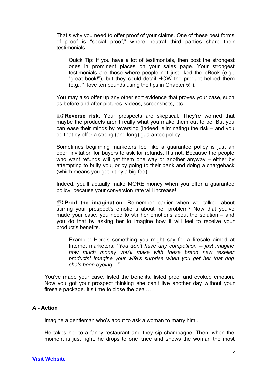That's why you need to offer proof of your claims. One of these best forms of proof is "social proof," where neutral third parties share their testimonials.

Quick Tip: If you have a lot of testimonials, then post the strongest ones in prominent places on your sales page. Your strongest testimonials are those where people not just liked the eBook (e.g., "great book!"), but they could detail HOW the product helped them (e.g., "I love ten pounds using the tips in Chapter 5!").

You may also offer up any other sort evidence that proves your case, such as before and after pictures, videos, screenshots, etc.

**EOReverse risk.** Your prospects are skeptical. They're worried that maybe the products aren't really what you make them out to be. But you can ease their minds by reversing (indeed, eliminating) the risk – and you do that by offer a strong (and long) guarantee policy.

Sometimes beginning marketers feel like a guarantee policy is just an open invitation for buyers to ask for refunds. It's not. Because the people who want refunds will get them one way or another anyway – either by attempting to bully you, or by going to their bank and doing a chargeback (which means you get hit by a big fee).

Indeed, you'll actually make MORE money when you offer a guarantee policy, because your conversion rate will increase!

4)**Prod the imagination.** Remember earlier when we talked about stirring your prospect's emotions about her problem? Now that you've made your case, you need to stir her emotions about the solution – and you do that by asking her to imagine how it will feel to receive your product's benefits.

Example: Here's something you might say for a firesale aimed at Internet marketers: "*You don't have any competition -- just imagine how much money you'll make with these brand new reseller products! Imagine your wife's surprise when you get her that ring she's been eyeing…"*

You've made your case, listed the benefits, listed proof and evoked emotion. Now you got your prospect thinking she can't live another day without your firesale package. It's time to close the deal…

## **A - Action**

Imagine a gentleman who's about to ask a woman to marry him...

He takes her to a fancy restaurant and they sip champagne. Then, when the moment is just right, he drops to one knee and shows the woman the most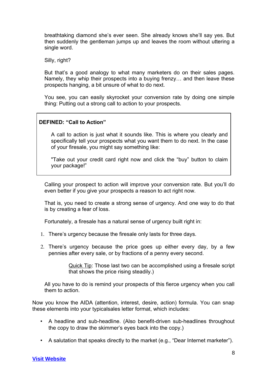breathtaking diamond she's ever seen. She already knows she'll say yes. But then suddenly the gentleman jumps up and leaves the room without uttering a single word.

Silly, right?

But that's a good analogy to what many marketers do on their sales pages. Namely, they whip their prospects into a buying frenzy… and then leave these prospects hanging, a bit unsure of what to do next.

You see, you can easily skyrocket your conversion rate by doing one simple thing: Putting out a strong call to action to your prospects.

## **DEFINED: "Call to Action"**

A call to action is just what it sounds like. This is where you clearly and specifically tell your prospects what you want them to do next. In the case of your firesale, you might say something like:

"Take out your credit card right now and click the "buy" button to claim your package!"

Calling your prospect to action will improve your conversion rate. But you'll do even better if you give your prospects a reason to act right now.

That is, you need to create a strong sense of urgency. And one way to do that is by creating a fear of loss.

Fortunately, a firesale has a natural sense of urgency built right in:

- 1. There's urgency because the firesale only lasts for three days.
- 2. There's urgency because the price goes up either every day, by a few pennies after every sale, or by fractions of a penny every second.

Quick Tip: Those last two can be accomplished using a firesale script that shows the price rising steadily.)

All you have to do is remind your prospects of this fierce urgency when you call them to action.

Now you know the AIDA (attention, interest, desire, action) formula. You can snap these elements into your typicalsales letter format, which includes:

- A headline and sub-headline. (Also benefit-driven sub-headlines throughout the copy to draw the skimmer's eyes back into the copy.)
- A salutation that speaks directly to the market (e.g., "Dear Internet marketer").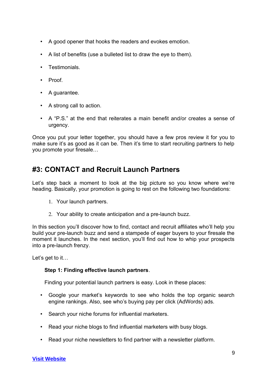- A good opener that hooks the readers and evokes emotion.
- A list of benefits (use a bulleted list to draw the eye to them).
- Testimonials.
- Proof
- A guarantee.
- A strong call to action.
- A "P.S." at the end that reiterates a main benefit and/or creates a sense of urgency.

Once you put your letter together, you should have a few pros review it for you to make sure it's as good as it can be. Then it's time to start recruiting partners to help you promote your firesale…

## **#3: CONTACT and Recruit Launch Partners**

Let's step back a moment to look at the big picture so you know where we're heading. Basically, your promotion is going to rest on the following two foundations:

- 1. Your launch partners.
- 2. Your ability to create anticipation and a pre-launch buzz.

In this section you'll discover how to find, contact and recruit affiliates who'll help you build your pre-launch buzz and send a stampede of eager buyers to your firesale the moment it launches. In the next section, you'll find out how to whip your prospects into a pre-launch frenzy.

Let's get to it…

## **Step 1: Finding effective launch partners**.

Finding your potential launch partners is easy. Look in these places:

- Google your market's keywords to see who holds the top organic search engine rankings. Also, see who's buying pay per click (AdWords) ads.
- Search your niche forums for influential marketers.
- Read your niche blogs to find influential marketers with busy blogs.
- Read your niche newsletters to find partner with a newsletter platform.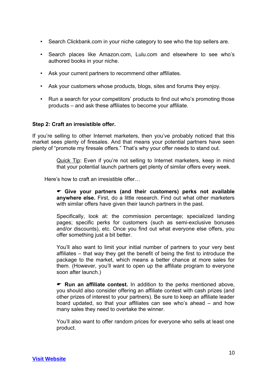- Search Clickbank.com in your niche category to see who the top sellers are.
- Search places like Amazon.com, Lulu.com and elsewhere to see who's authored books in your niche.
- Ask your current partners to recommend other affiliates.
- Ask your customers whose products, blogs, sites and forums they enjoy.
- Run a search for your competitors' products to find out who's promoting those products – and ask these affiliates to become your affiliate.

## **Step 2: Craft an irresistible offer.**

If you're selling to other Internet marketers, then you've probably noticed that this market sees plenty of firesales. And that means your potential partners have seen plenty of "promote my firesale offers." That's why your offer needs to stand out.

> Quick Tip: Even if you're not selling to Internet marketers, keep in mind that your potential launch partners get plenty of similar offers every week.

Here's how to craft an irresistible offer…

 **Give your partners (and their customers) perks not available anywhere else.** First, do a little research. Find out what other marketers with similar offers have given their launch partners in the past.

Specifically, look at: the commission percentage; specialized landing pages; specific perks for customers (such as semi-exclusive bonuses and/or discounts), etc. Once you find out what everyone else offers, you offer something just a bit better.

You'll also want to limit your initial number of partners to your very best affiliates – that way they get the benefit of being the first to introduce the package to the market, which means a better chance at more sales for them. (However, you'll want to open up the affiliate program to everyone soon after launch.)

 **Run an affiliate contest.** In addition to the perks mentioned above, you should also consider offering an affiliate contest with cash prizes (and other prizes of interest to your partners). Be sure to keep an affiliate leader board updated, so that your affiliates can see who's ahead – and how many sales they need to overtake the winner.

You'll also want to offer random prices for everyone who sells at least one product.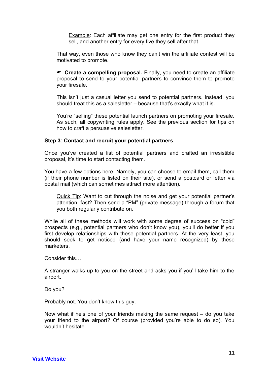**Example:** Each affiliate may get one entry for the first product they sell, and another entry for every five they sell after that.

That way, even those who know they can't win the affiliate contest will be motivated to promote.

 **Create a compelling proposal.** Finally, you need to create an affiliate proposal to send to your potential partners to convince them to promote your firesale.

This isn't just a casual letter you send to potential partners. Instead, you should treat this as a salesletter – because that's exactly what it is.

You're "selling" these potential launch partners on promoting your firesale. As such, all copywriting rules apply. See the previous section for tips on how to craft a persuasive salesletter.

## **Step 3: Contact and recruit your potential partners.**

Once you've created a list of potential partners and crafted an irresistible proposal, it's time to start contacting them.

You have a few options here. Namely, you can choose to email them, call them (if their phone number is listed on their site), or send a postcard or letter via postal mail (which can sometimes attract more attention).

Quick Tip: Want to cut through the noise and get your potential partner's attention, fast? Then send a "PM" (private message) through a forum that you both regularly contribute on.

While all of these methods will work with some degree of success on "cold" prospects (e.g., potential partners who don't know you), you'll do better if you first develop relationships with these potential partners. At the very least, you should seek to get noticed (and have your name recognized) by these marketers.

Consider this…

A stranger walks up to you on the street and asks you if you'll take him to the airport.

Do you?

Probably not. You don't know this guy.

Now what if he's one of your friends making the same request – do you take your friend to the airport? Of course (provided you're able to do so). You wouldn't hesitate.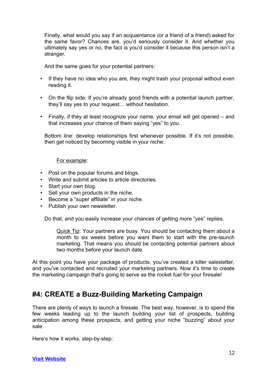Finally, what would you say if an acquaintance (or a friend of a friend) asked for the same favor? Chances are, you'd seriously consider it. And whether you ultimately say yes or no, the fact is you'd consider it because this person isn't a stranger.

And the same goes for your potential partners:

- If they have no idea who you are, they might trash your proposal without even reading it.
- On the flip side: If you're already good friends with a potential launch partner, they'll say yes to your request… without hesitation.
- Finally, if they at least recognize your name, your email will get opened and that increases your chance of them saying "yes" to you.

Bottom line: develop relationships first whenever possible. If it's not possible, then get noticed by becoming visible in your niche.

For example:

- Post on the popular forums and blogs.
- Write and submit articles to article directories.
- Start your own blog.
- Sell your own products in the niche.
- Become a "super affiliate" in your niche.
- Publish your own newsletter.

Do that, and you easily increase your chances of getting more "yes" replies.

Quick Tip: Your partners are busy. You should be contacting them about a month to six weeks before you want them to start with the pre-launch marketing. That means you should be contacting potential partners about two months before your launch date.

At this point you have your package of products, you've created a killer salesletter, and you've contacted and recruited your marketing partners. Now it's time to create the marketing campaign that's going to serve as the rocket fuel for your firesale!

## **#4: CREATE a Buzz-Building Marketing Campaign**

There are plenty of ways to launch a firesale. The best way, however, is to spend the few weeks leading up to the launch building your list of prospects, building anticipation among these prospects, and getting your niche "buzzing" about your sale.

Here's how it works, step-by-step:

**[Visit Website](http://replug.link/f7ab3460/)**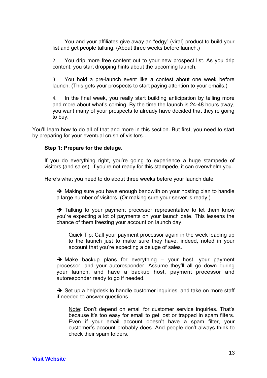1. You and your affiliates give away an "edgy" (viral) product to build your list and get people talking. (About three weeks before launch.)

2. You drip more free content out to your new prospect list. As you drip content, you start dropping hints about the upcoming launch.

3. You hold a pre-launch event like a contest about one week before launch. (This gets your prospects to start paying attention to your emails.)

4. In the final week, you really start building anticipation by telling more and more about what's coming. By the time the launch is 24-48 hours away, you want many of your prospects to already have decided that they're going to buy.

You'll learn how to do all of that and more in this section. But first, you need to start by preparing for your eventual crush of visitors…

## **Step 1: Prepare for the deluge.**

If you do everything right, you're going to experience a huge stampede of visitors (and sales). If you're not ready for this stampede, it can overwhelm you.

Here's what you need to do about three weeks before your launch date:

 $\rightarrow$  Making sure you have enough bandwith on your hosting plan to handle a large number of visitors. (Or making sure your server is ready.)

 $\rightarrow$  Talking to your payment processor representative to let them know you're expecting a lot of payments on your launch date. This lessens the chance of them freezing your account on launch day.

Quick Tip: Call your payment processor again in the week leading up to the launch just to make sure they have, indeed, noted in your account that you're expecting a deluge of sales.

 $\rightarrow$  Make backup plans for everything – your host, your payment processor, and your autoresponder. Assume they'll all go down during your launch, and have a backup host, payment processor and autoresponder ready to go if needed.

 $\rightarrow$  Set up a helpdesk to handle customer inquiries, and take on more staff if needed to answer questions.

Note: Don't depend on email for customer service inquiries. That's because it's too easy for email to get lost or trapped in spam filters. Even if your email account doesn't have a spam filter, your customer's account probably does. And people don't always think to check their spam folders.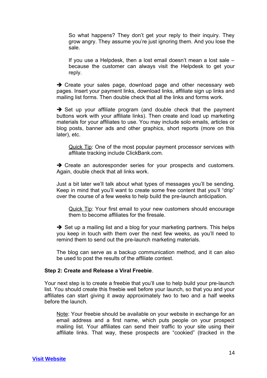So what happens? They don't get your reply to their inquiry. They grow angry. They assume you're just ignoring them. And you lose the sale.

If you use a Helpdesk, then a lost email doesn't mean a lost sale – because the customer can always visit the Helpdesk to get your reply.

 $\rightarrow$  Create your sales page, download page and other necessary web pages. Insert your payment links, download links, affiliate sign up links and mailing list forms. Then double check that all the links and forms work.

 $\rightarrow$  Set up your affiliate program (and double check that the payment buttons work with your affiliate links). Then create and load up marketing materials for your affiliates to use. You may include solo emails, articles or blog posts, banner ads and other graphics, short reports (more on this later), etc.

Quick Tip: One of the most popular payment processor services with affiliate tracking include ClickBank.com.

 $\rightarrow$  Create an autoresponder series for your prospects and customers. Again, double check that all links work.

Just a bit later we'll talk about what types of messages you'll be sending. Keep in mind that you'll want to create some free content that you'll "drip" over the course of a few weeks to help build the pre-launch anticipation.

Quick Tip: Your first email to your new customers should encourage them to become affiliates for the firesale.

 $\rightarrow$  Set up a mailing list and a blog for your marketing partners. This helps you keep in touch with them over the next few weeks, as you'll need to remind them to send out the pre-launch marketing materials.

The blog can serve as a backup communication method, and it can also be used to post the results of the affiliate contest.

## **Step 2: Create and Release a Viral Freebie**.

Your next step is to create a freebie that you'll use to help build your pre-launch list. You should create this freebie well before your launch, so that you and your affiliates can start giving it away approximately two to two and a half weeks before the launch.

Note: Your freebie should be available on your website in exchange for an email address and a first name, which puts people on your prospect mailing list. Your affiliates can send their traffic to your site using their affiliate links. That way, these prospects are "cookied" (tracked in the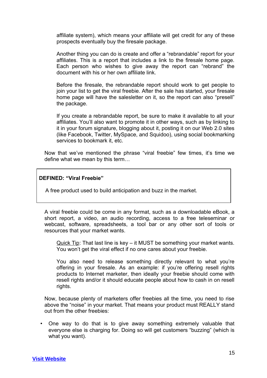affiliate system), which means your affiliate will get credit for any of these prospects eventually buy the firesale package.

Another thing you can do is create and offer a "rebrandable" report for your affiliates. This is a report that includes a link to the firesale home page. Each person who wishes to give away the report can "rebrand" the document with his or her own affiliate link.

Before the firesale, the rebrandable report should work to get people to join your list to get the viral freebie. After the sale has started, your firesale home page will have the salesletter on it, so the report can also "presell" the package.

If you create a rebrandable report, be sure to make it available to all your affiliates. You'll also want to promote it in other ways, such as by linking to it in your forum signature, blogging about it, posting it on our Web 2.0 sites (like Facebook, Twitter, MySpace, and Squidoo), using social bookmarking services to bookmark it, etc.

Now that we've mentioned the phrase "viral freebie" few times, it's time we define what we mean by this term…

## **DEFINED: "Viral Freebie"**

A free product used to build anticipation and buzz in the market.

A viral freebie could be come in any format, such as a downloadable eBook, a short report, a video, an audio recording, access to a free teleseminar or webcast, software, spreadsheets, a tool bar or any other sort of tools or resources that your market wants.

Quick Tip: That last line is key – it MUST be something your market wants. You won't get the viral effect if no one cares about your freebie.

You also need to release something directly relevant to what you're offering in your firesale. As an example: if you're offering resell rights products to Internet marketer, then ideally your freebie should come with resell rights and/or it should educate people about how to cash in on resell rights.

Now, because plenty of marketers offer freebies all the time, you need to rise above the "noise" in your market. That means your product must REALLY stand out from the other freebies:

• One way to do that is to give away something extremely valuable that everyone else is charging for. Doing so will get customers "buzzing" (which is what you want).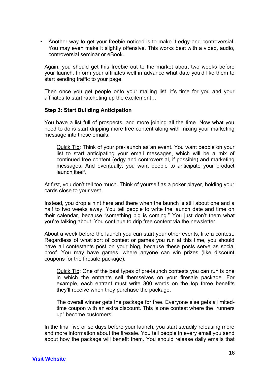• Another way to get your freebie noticed is to make it edgy and controversial. You may even make it slightly offensive. This works best with a video, audio, controversial seminar or eBook.

Again, you should get this freebie out to the market about two weeks before your launch. Inform your affiliates well in advance what date you'd like them to start sending traffic to your page.

Then once you get people onto your mailing list, it's time for you and your affiliates to start ratcheting up the excitement…

## **Step 3: Start Building Anticipation**

You have a list full of prospects, and more joining all the time. Now what you need to do is start dripping more free content along with mixing your marketing message into these emails.

Quick Tip: Think of your pre-launch as an event. You want people on your list to start anticipating your email messages, which will be a mix of continued free content (edgy and controversial, if possible) and marketing messages. And eventually, you want people to anticipate your product launch itself.

At first, you don't tell too much. Think of yourself as a poker player, holding your cards close to your vest.

Instead, you drop a hint here and there when the launch is still about one and a half to two weeks away. You tell people to write the launch date and time on their calendar, because "something big is coming." You just don't them what you're talking about. You continue to drip free content via the newsletter.

About a week before the launch you can start your other events, like a contest. Regardless of what sort of contest or games you run at this time, you should have all contestants post on your blog, because these posts serve as social proof. You may have games, where anyone can win prizes (like discount coupons for the firesale package).

Quick Tip: One of the best types of pre-launch contests you can run is one in which the entrants sell themselves on your firesale package. For example, each entrant must write 300 words on the top three benefits they'll receive when they purchase the package.

The overall winner gets the package for free. Everyone else gets a limitedtime coupon with an extra discount. This is one contest where the "runners up" become customers!

In the final five or so days before your launch, you start steadily releasing more and more information about the firesale. You tell people in every email you send about how the package will benefit them. You should release daily emails that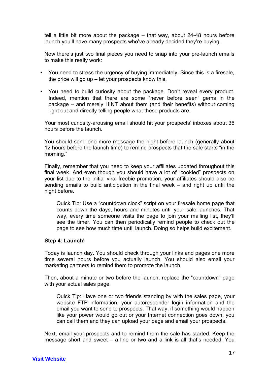tell a little bit more about the package – that way, about 24-48 hours before launch you'll have many prospects who've already decided they're buying.

Now there's just two final pieces you need to snap into your pre-launch emails to make this really work:

- You need to stress the urgency of buying immediately. Since this is a firesale, the price will go up – let your prospects know this.
- You need to build curiosity about the package. Don't reveal every product. Indeed, mention that there are some "never before seen" gems in the package – and merely HINT about them (and their benefits) without coming right out and directly telling people what these products are.

Your most curiosity-arousing email should hit your prospects' inboxes about 36 hours before the launch.

You should send one more message the night before launch (generally about 12 hours before the launch time) to remind prospects that the sale starts "in the morning."

Finally, remember that you need to keep your affiliates updated throughout this final week. And even though you should have a lot of "cookied" prospects on your list due to the initial viral freebie promotion, your affiliates should also be sending emails to build anticipation in the final week – and right up until the night before.

Quick Tip: Use a "countdown clock" script on your firesale home page that counts down the days, hours and minutes until your sale launches. That way, every time someone visits the page to join your mailing list, they'll see the timer. You can then periodically remind people to check out the page to see how much time until launch. Doing so helps build excitement.

## **Step 4: Launch!**

Today is launch day. You should check through your links and pages one more time several hours before you actually launch. You should also email your marketing partners to remind them to promote the launch.

Then, about a minute or two before the launch, replace the "countdown" page with your actual sales page.

Quick Tip: Have one or two friends standing by with the sales page, your website FTP information, your autoresponder login information and the email you want to send to prospects. That way, if something would happen like your power would go out or your Internet connection goes down, you can call them and they can upload your page and email your prospects.

Next, email your prospects and to remind them the sale has started. Keep the message short and sweet – a line or two and a link is all that's needed. You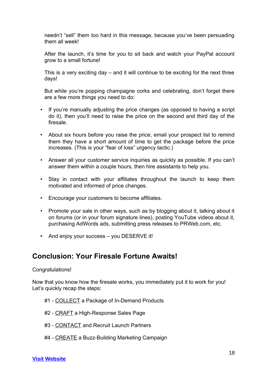needn't "sell" them too hard in this message, because you've been persuading them all week!

After the launch, it's time for you to sit back and watch your PayPal account grow to a small fortune!

This is a very exciting day – and it will continue to be exciting for the next three days!

But while you're popping champagne corks and celebrating, don't forget there are a few more things you need to do:

- If you're manually adjusting the price changes (as opposed to having a script do it), then you'll need to raise the price on the second and third day of the firesale.
- About six hours before you raise the price, email your prospect list to remind them they have a short amount of time to get the package before the price increases. (This is your "fear of loss" urgency tactic.)
- Answer all your customer service inquiries as quickly as possible. If you can't answer them within a couple hours, then hire assistants to help you.
- Stay in contact with your affiliates throughout the launch to keep them motivated and informed of price changes.
- Encourage your customers to become affiliates.
- Promote your sale in other ways, such as by blogging about it, talking about it on forums (or in your forum signature lines), posting YouTube videos about it, purchasing AdWords ads, submitting press releases to PRWeb.com, etc.
- And enjoy your success you DESERVE it!

## **Conclusion: Your Firesale Fortune Awaits!**

## Congratulations!

Now that you know how the firesale works, you immediately put it to work for you! Let's quickly recap the steps:

- #1 COLLECT a Package of In-Demand Products
- #2 CRAFT a High-Response Sales Page
- #3 CONTACT and Recruit Launch Partners
- #4 CREATE a Buzz-Building Marketing Campaign